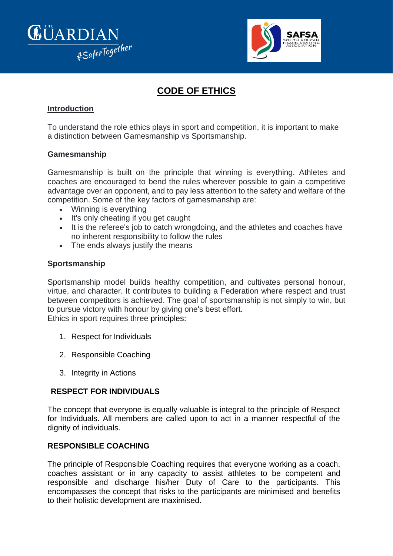



# **CODE OF ETHICS**

## **Introduction**

To understand the role ethics plays in sport and competition, it is important to make a distinction between Gamesmanship vs Sportsmanship.

#### **Gamesmanship**

Gamesmanship is built on the principle that winning is everything. Athletes and coaches are encouraged to bend the rules wherever possible to gain a competitive advantage over an opponent, and to pay less attention to the safety and welfare of the competition. Some of the key factors of gamesmanship are:

- Winning is everything
- It's only cheating if you get caught
- It is the referee's job to catch wrongdoing, and the athletes and coaches have no inherent responsibility to follow the rules
- The ends always justify the means

#### **Sportsmanship**

Sportsmanship model builds healthy competition, and cultivates personal honour, virtue, and character. It contributes to building a Federation where respect and trust between competitors is achieved. The goal of sportsmanship is not simply to win, but to pursue victory with honour by giving one's best effort. Ethics in sport requires three principles:

- 1. Respect for Individuals
- 2. Responsible Coaching
- 3. Integrity in Actions

## **RESPECT FOR INDIVIDUALS**

The concept that everyone is equally valuable is integral to the principle of Respect for Individuals. All members are called upon to act in a manner respectful of the dignity of individuals.

## **RESPONSIBLE COACHING**

The principle of Responsible Coaching requires that everyone working as a coach, coaches assistant or in any capacity to assist athletes to be competent and responsible and discharge his/her Duty of Care to the participants. This encompasses the concept that risks to the participants are minimised and benefits to their holistic development are maximised.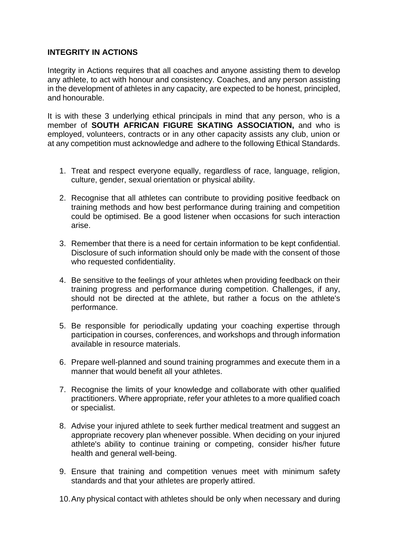## **INTEGRITY IN ACTIONS**

Integrity in Actions requires that all coaches and anyone assisting them to develop any athlete, to act with honour and consistency. Coaches, and any person assisting in the development of athletes in any capacity, are expected to be honest, principled, and honourable.

It is with these 3 underlying ethical principals in mind that any person, who is a member of **SOUTH AFRICAN FIGURE SKATING ASSOCIATION,** and who is employed, volunteers, contracts or in any other capacity assists any club, union or at any competition must acknowledge and adhere to the following Ethical Standards.

- 1. Treat and respect everyone equally, regardless of race, language, religion, culture, gender, sexual orientation or physical ability.
- 2. Recognise that all athletes can contribute to providing positive feedback on training methods and how best performance during training and competition could be optimised. Be a good listener when occasions for such interaction arise.
- 3. Remember that there is a need for certain information to be kept confidential. Disclosure of such information should only be made with the consent of those who requested confidentiality.
- 4. Be sensitive to the feelings of your athletes when providing feedback on their training progress and performance during competition. Challenges, if any, should not be directed at the athlete, but rather a focus on the athlete's performance.
- 5. Be responsible for periodically updating your coaching expertise through participation in courses, conferences, and workshops and through information available in resource materials.
- 6. Prepare well-planned and sound training programmes and execute them in a manner that would benefit all your athletes.
- 7. Recognise the limits of your knowledge and collaborate with other qualified practitioners. Where appropriate, refer your athletes to a more qualified coach or specialist.
- 8. Advise your injured athlete to seek further medical treatment and suggest an appropriate recovery plan whenever possible. When deciding on your injured athlete's ability to continue training or competing, consider his/her future health and general well-being.
- 9. Ensure that training and competition venues meet with minimum safety standards and that your athletes are properly attired.
- 10.Any physical contact with athletes should be only when necessary and during